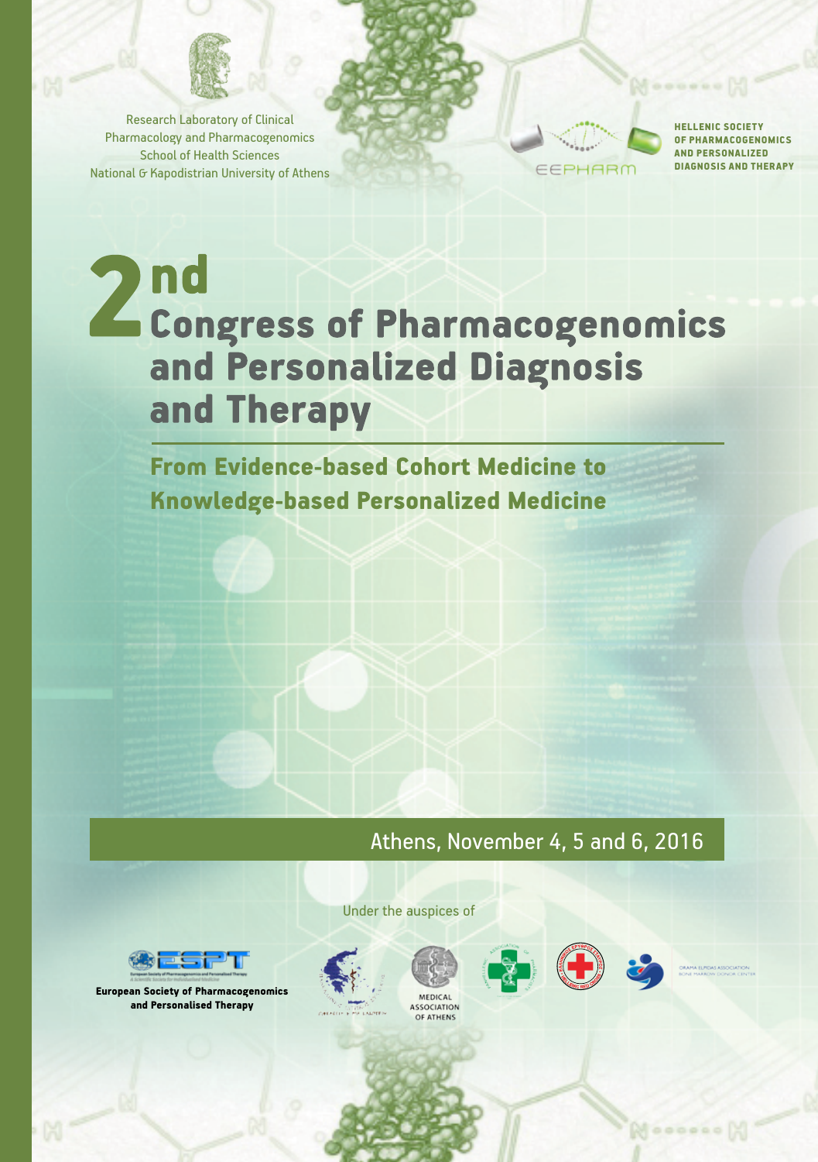

Research Laboratory of Clinical Pharmacology and Pharmacogenomics School of Health Sciences National G Kapodistrian University of Athens



HELLENIC SOCIETY OF PHARMACOGENOMICS AND PERSONALIZED DIAGNOSIS AND THERAPY

000000

# 2 nd<br>
Congress of Pharmacogenomics and Personalized Diagnosis and Therapy

From Evidence-based Cohort Medicine to Knowledge-based Personalized Medicine

Athens, November 4, 5 and 6, 2016



European Society of Pharmacogenomics and Personalised Therapy





Under the auspices of







 $\bowtie$  000000

ASSOCIATION<br>OF ATHENS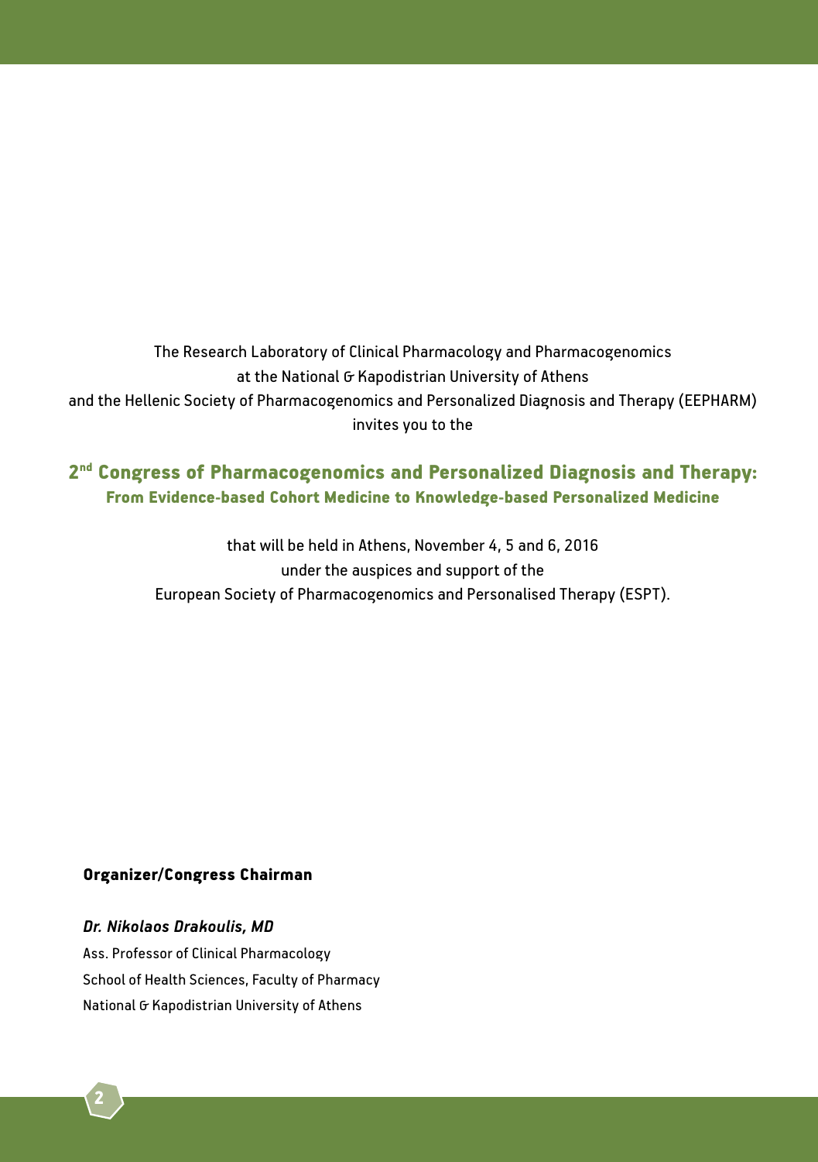The Research Laboratory of Clinical Pharmacology and Pharmacogenomics at the National G Kapodistrian University of Athens and the Hellenic Society of Pharmacogenomics and Personalized Diagnosis and Therapy (EEPHARM) invites you to the

# 2nd Congress of Pharmacogenomics and Personalized Diagnosis and Therapy: From Evidence-based Cohort Medicine to Knowledge-based Personalized Medicine

that will be held in Athens, November 4, 5 and 6, 2016 under the auspices and support of the European Society of Pharmacogenomics and Personalised Therapy (ESPT).

#### Organizer/Congress Chairman

#### *Dr. Nikolaos Drakoulis, MD*

Ass. Professor of Clinical Pharmacology School of Health Sciences, Faculty of Pharmacy National G Kapodistrian University of Athens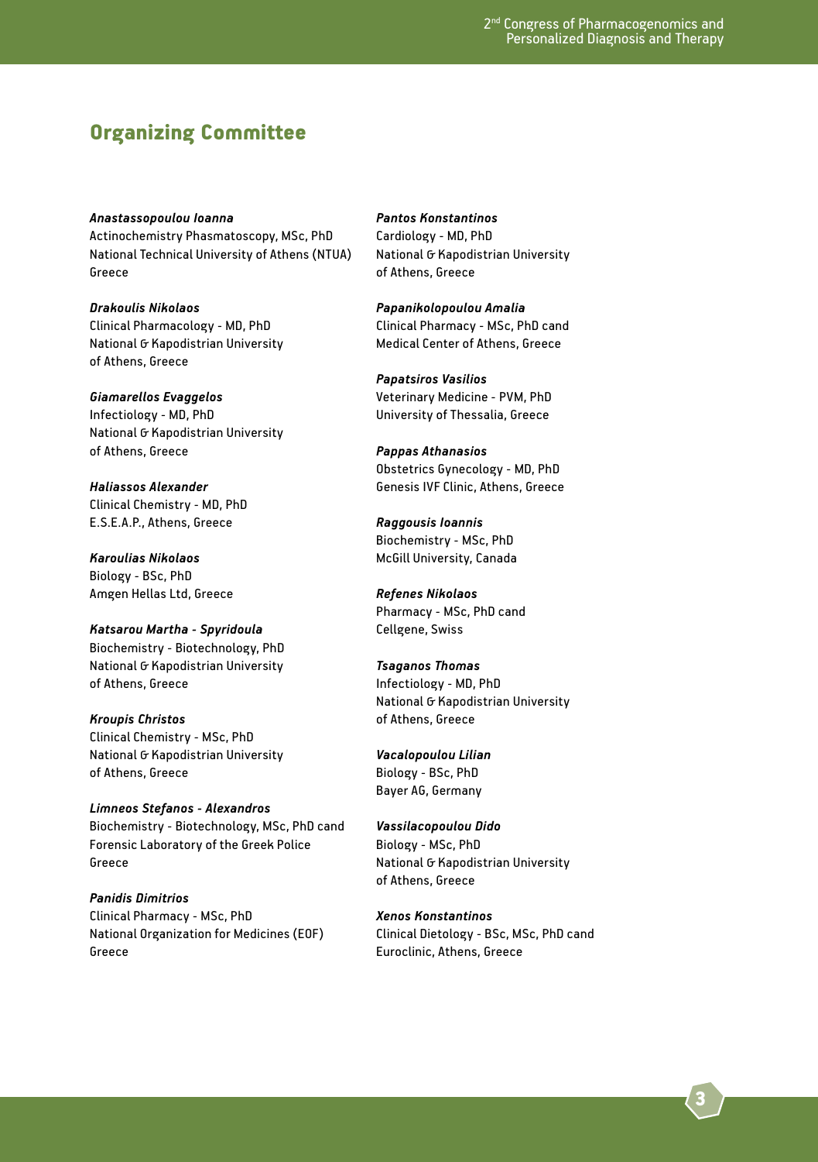## Organizing Committee

*Anastassopoulou Ioanna* Actinochemistry Phasmatoscopy, MSc, PhD National Technical University of Athens (NTUA) Greece

*Drakoulis Nikolaos* Clinical Pharmacology - MD, PhD National G Kapodistrian University of Athens, Greece

*Giamarellos Evaggelos* Infectiology - MD, PhD National G Kapodistrian University of Athens, Greece

*Haliassos Alexander* Clinical Chemistry - MD, PhD E.S.E.A.P., Athens, Greece

*Karoulias Nikolaos* Biology - BSc, PhD Amgen Hellas Ltd, Greece

*Katsarou Martha - Spyridoula* Biochemistry - Biotechnology, PhD National G Kapodistrian University of Athens, Greece

*Kroupis Christos* Clinical Chemistry - MSc, PhD National G Kapodistrian University of Athens, Greece

*Limneos Stefanos - Alexandros* Biochemistry - Biotechnology, MSc, PhD cand Forensic Laboratory of the Greek Police Greece

*Panidis Dimitrios* Clinical Pharmacy - MSc, PhD National Organization for Medicines (EOF) Greece

*Pantos Konstantinos* Cardiology - MD, PhD National & Kapodistrian University of Athens, Greece

*Papanikolopoulou Amalia* Clinical Pharmacy - MSc, PhD cand Medical Center of Athens, Greece

*Papatsiros Vasilios* Veterinary Medicine - PVM, PhD University of Thessalia, Greece

*Pappas Athanasios* Obstetrics Gynecology - MD, PhD Genesis IVF Clinic, Athens, Greece

*Raggousis Ioannis* Biochemistry - MSc, PhD McGill University, Canada

*Refenes Nikolaos* Pharmacy - MSc, PhD cand Cellgene, Swiss

*Tsaganos Thomas*  Infectiology - MD, PhD National G Kapodistrian University of Athens, Greece

*Vacalopoulou Lilian* Biology - BSc, PhD Bayer AG, Germany

*Vassilacopoulou Dido* Biology - MSc, PhD National G Kapodistrian University of Athens, Greece

*Xenos Konstantinos* Clinical Dietology - BSc, MSc, PhD cand Euroclinic, Athens, Greece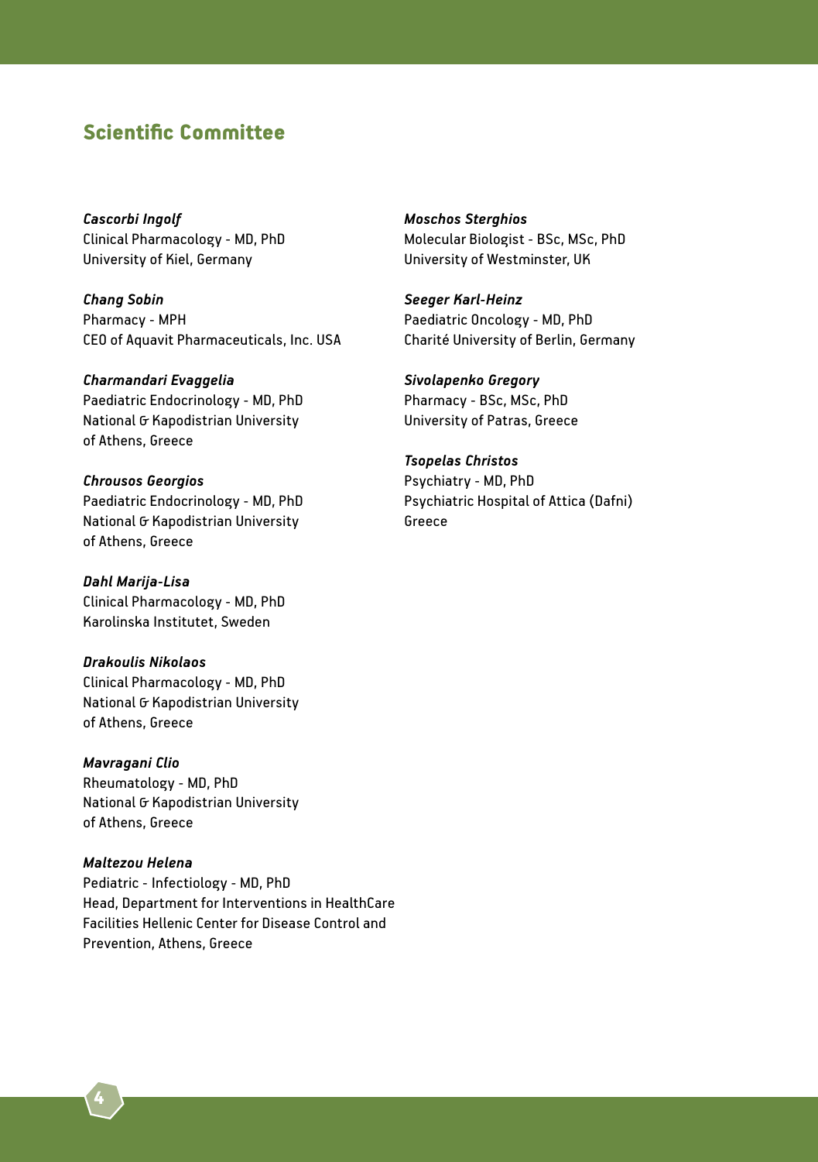# Scientific Committee

*Cascorbi Ingolf*  Clinical Pharmacology - MD, PhD University of Kiel, Germany

*Chang Sobin* Pharmacy - MPH CEO of Aquavit Pharmaceuticals, Inc. USA

*Charmandari Evaggelia*  Paediatric Endocrinology - MD, PhD National G Kapodistrian University of Athens, Greece

*Chrousos Georgios* Paediatric Endocrinology - MD, PhD National G Kapodistrian University of Athens, Greece

*Dahl Marija-Lisa*  Clinical Pharmacology - MD, PhD Karolinska Institutet, Sweden

*Drakoulis Nikolaos*  Clinical Pharmacology - MD, PhD National G Kapodistrian University of Athens, Greece

*Mavragani Clio*  Rheumatology - MD, PhD National G Kapodistrian University of Athens, Greece

#### *Maltezou Helena* Pediatric - Infectiology - MD, PhD Head, Department for Interventions in HealthCare Facilities Hellenic Center for Disease Control and Prevention, Athens, Greece

*Moschos Sterghios*  Molecular Biologist - BSc, MSc, PhD University of Westminster, UK

*Seeger Karl-Heinz*  Paediatric Oncology - MD, PhD Charité University of Berlin, Germany

*Sivolapenko Gregory* Pharmacy - BSc, MSc, PhD University of Patras, Greece

*Tsopelas Christos* Psychiatry - MD, PhD Psychiatric Hospital of Attica (Dafni) Greece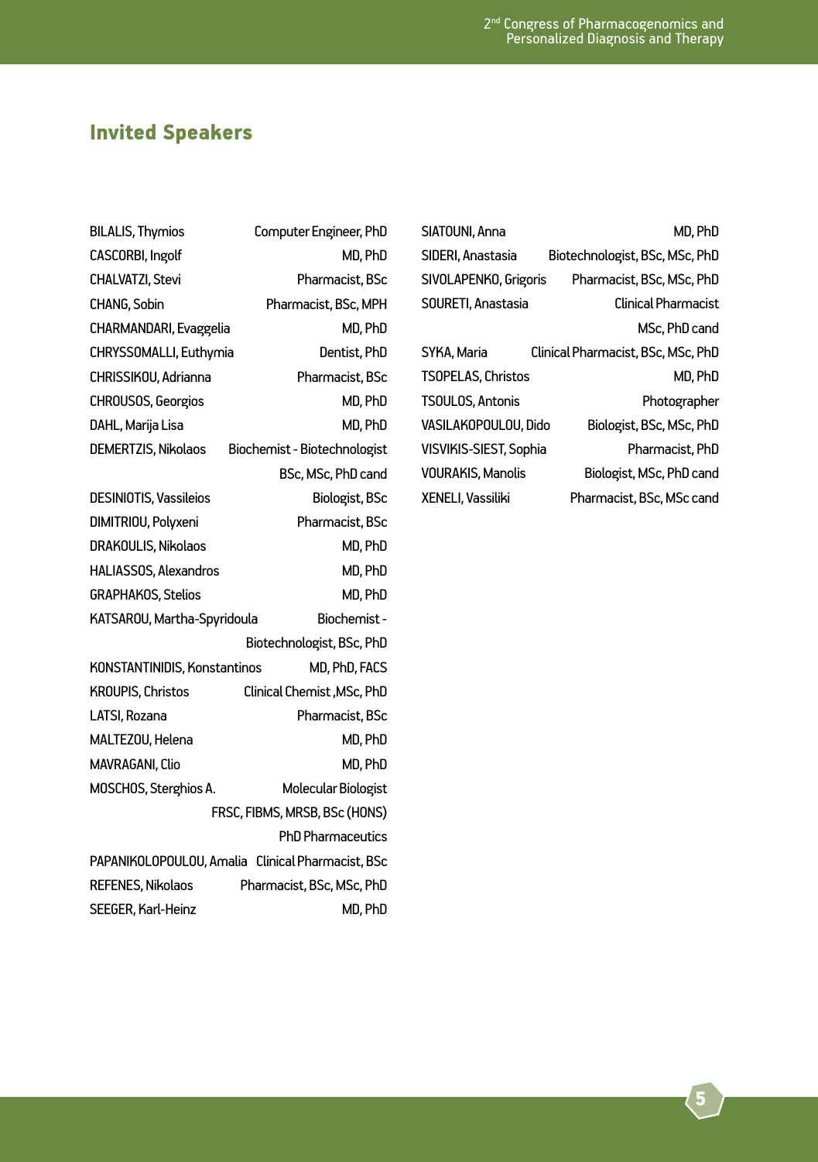# Invited Speakers

| <b>BILALIS, Thymios</b>             | Computer Engineer, PhD                            |
|-------------------------------------|---------------------------------------------------|
| <b>CASCORBI, Ingolf</b>             | MD. PhD                                           |
| CHALVATZI, Stevi                    | Pharmacist, BSc                                   |
| CHANG, Sobin                        | Pharmacist, BSc, MPH                              |
| CHARMANDARI, Evaggelia              | MD, PhD                                           |
| CHRYSSOMALLI, Euthymia              | Dentist, PhD                                      |
| CHRISSIKOU, Adrianna                | Pharmacist, BSc                                   |
| <b>CHROUSOS, Georgios</b>           | MD, PhD                                           |
| DAHL, Marija Lisa                   | MD, PhD                                           |
| DEMERTZIS, Nikolaos                 | Biochemist - Biotechnologist                      |
|                                     | BSc, MSc, PhD cand                                |
| <b>DESINIOTIS, Vassileios</b>       | Biologist, BSc                                    |
| DIMITRIOU, Polyxeni                 | Pharmacist, BSc                                   |
| <b>DRAKOULIS, Nikolaos</b>          | MD, PhD                                           |
| HALIASSOS, Alexandros               | MD, PhD                                           |
| <b>GRAPHAKOS, Stelios</b>           | MD, PhD                                           |
| KATSAROU, Martha-Spyridoula         | Biochemist-                                       |
|                                     | Biotechnologist, BSc, PhD                         |
| <b>KONSTANTINIDIS, Konstantinos</b> | MD, PhD, FACS                                     |
| <b>KROUPIS, Christos</b>            | Clinical Chemist, MSc, PhD                        |
| LATSI, Rozana                       | Pharmacist, BSc                                   |
| MALTEZOU, Helena                    | MD, PhD                                           |
| MAVRAGANI, Clio                     | MD. PhD                                           |
| MOSCHOS, Sterghios A.               | Molecular Biologist                               |
|                                     | FRSC, FIBMS, MRSB, BSc (HONS)                     |
|                                     | <b>PhD Pharmaceutics</b>                          |
|                                     | PAPANIKOLOPOULOU, Amalia Clinical Pharmacist, BSc |
| <b>REFENES, Nikolaos</b>            | Pharmacist, BSc, MSc, PhD                         |
| SEEGER, Karl-Heinz                  | MD, PhD                                           |

| MD, PhD                                            |
|----------------------------------------------------|
| Biotechnologist, BSc, MSc, PhD                     |
| SIVOLAPENKO, Grigoris<br>Pharmacist, BSc, MSc, PhD |
| Clinical Pharmacist                                |
| MSc. PhD cand                                      |
| Clinical Pharmacist, BSc, MSc, PhD                 |
| MD, PhD                                            |
| Photographer                                       |
| VASILAKOPOULOU, Dido<br>Biologist, BSc, MSc, PhD   |
| VISVIKIS-SIEST, Sophia<br>Pharmacist, PhD          |
| Biologist, MSc, PhD cand                           |
| Pharmacist, BSc, MSc cand                          |
|                                                    |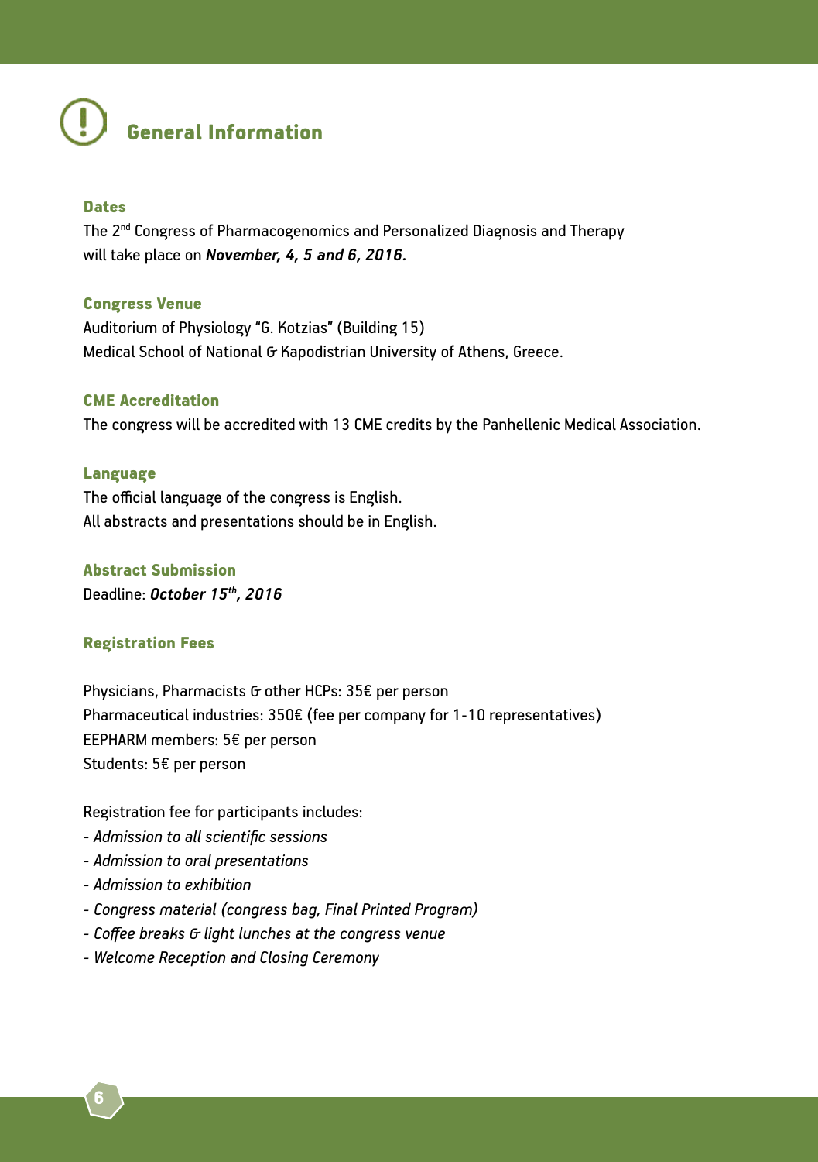

#### Dates

The 2<sup>nd</sup> Congress of Pharmacogenomics and Personalized Diagnosis and Therapy will take place on *November, 4, 5 and 6, 2016.*

#### Congress Venue

Auditorium of Physiology "G. Kotzias" (Building 15) Medical School of National G Kapodistrian University of Athens, Greece.

#### CME Accreditation

The congress will be accredited with 13 CME credits by the Panhellenic Medical Association.

#### Language

The official language of the congress is English. All abstracts and presentations should be in English.

#### Abstract Submission

Deadline: *October 15th, 2016*

#### Registration Fees

Physicians, Pharmacists & other HCPs: 35€ per person Pharmaceutical industries: 350€ (fee per company for 1-10 representatives) EEPHARM members: 5€ per person Students: 5€ per person

Registration fee for participants includes:

- *Admission to all scientific sessions*
- *Admission to oral presentations*
- *Admission to exhibition*
- *Congress material (congress bag, Final Printed Program)*
- *Coffee breaks & light lunches at the congress venue*
- *Welcome Reception and Closing Ceremony*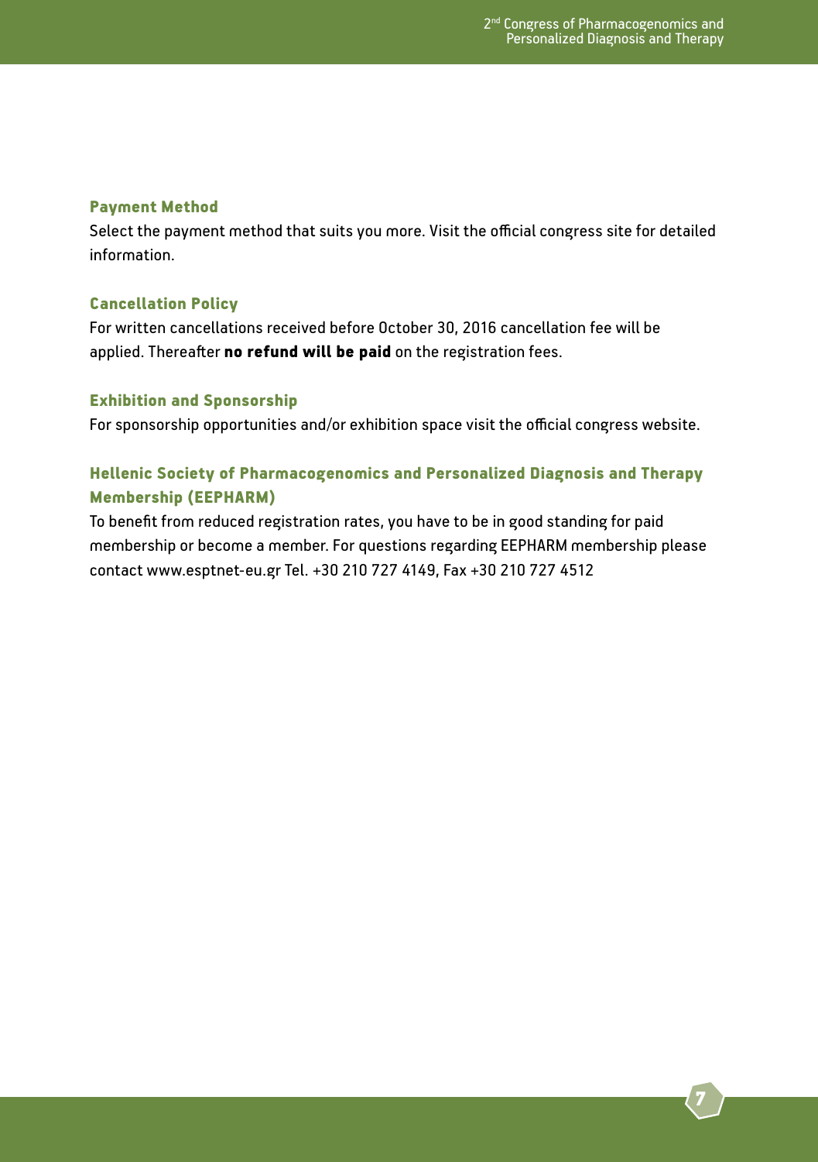#### Payment Method

Select the payment method that suits you more. Visit the official congress site for detailed information.

#### Cancellation Policy

For written cancellations received before October 30, 2016 cancellation fee will be applied. Thereafter no refund will be paid on the registration fees.

#### Exhibition and Sponsorship

For sponsorship opportunities and/or exhibition space visit the official congress website.

### Hellenic Society of Pharmacogenomics and Personalized Diagnosis and Therapy Membership (EEPHARM)

To benefit from reduced registration rates, you have to be in good standing for paid membership or become a member. For questions regarding EEPHARM membership please contact www.esptnet-eu.gr Tel. +30 210 727 4149, Fax +30 210 727 4512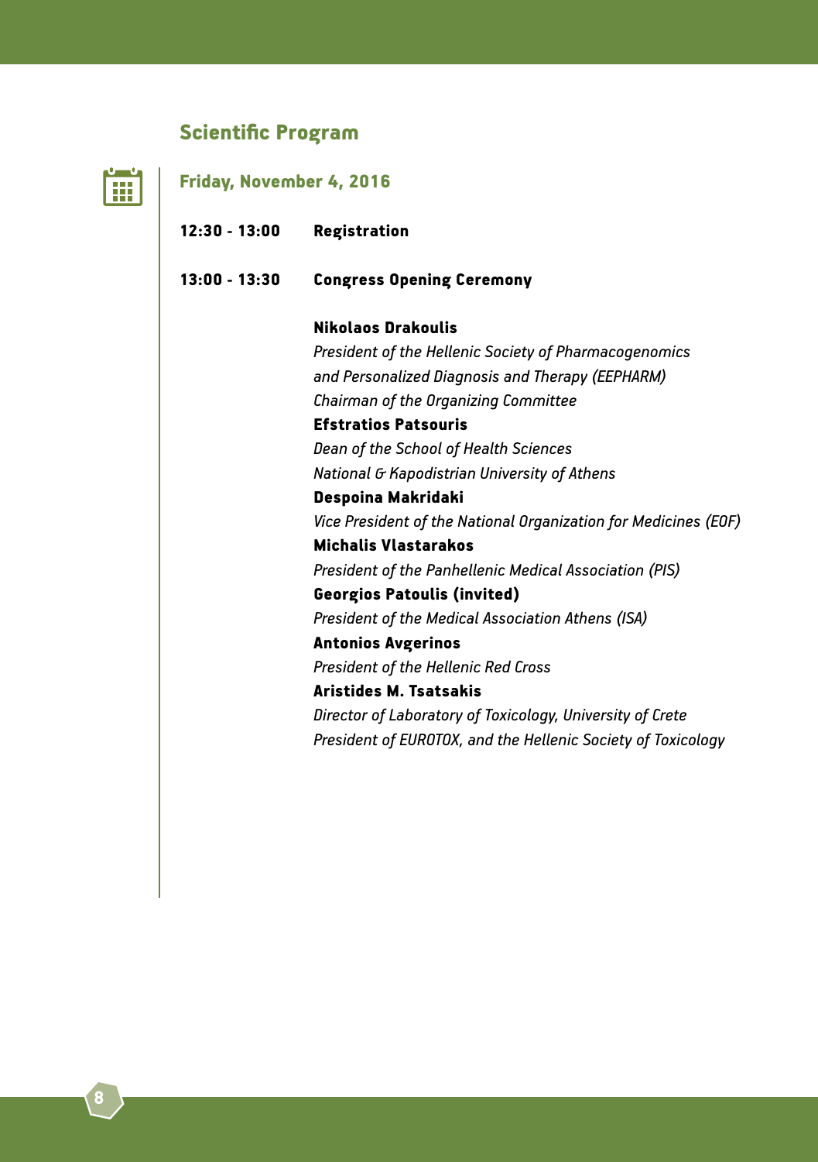# Scientific Program

| Friday, November 4, 2016 |                                                                 |
|--------------------------|-----------------------------------------------------------------|
| $12:30 - 13:00$          | <b>Registration</b>                                             |
| $13:00 - 13:30$          | <b>Congress Opening Ceremony</b>                                |
|                          | <b>Nikolaos Drakoulis</b>                                       |
|                          | President of the Hellenic Society of Pharmacogenomics           |
|                          | and Personalized Diagnosis and Therapy (EEPHARM)                |
|                          | Chairman of the Organizing Committee                            |
|                          | <b>Efstratios Patsouris</b>                                     |
|                          | Dean of the School of Health Sciences                           |
|                          | National G Kapodistrian University of Athens                    |
|                          | Despoina Makridaki                                              |
|                          | Vice President of the National Organization for Medicines (EOF) |
|                          | <b>Michalis Vlastarakos</b>                                     |
|                          | President of the Panhellenic Medical Association (PIS)          |
|                          | <b>Georgios Patoulis (invited)</b>                              |
|                          | President of the Medical Association Athens (ISA)               |
|                          | <b>Antonios Avgerinos</b>                                       |
|                          | <b>President of the Hellenic Red Cross</b>                      |
|                          | <b>Aristides M. Tsatsakis</b>                                   |
|                          | Director of Laboratory of Toxicology, University of Crete       |
|                          | President of EUROTOX, and the Hellenic Society of Toxicology    |
|                          |                                                                 |
|                          |                                                                 |
|                          |                                                                 |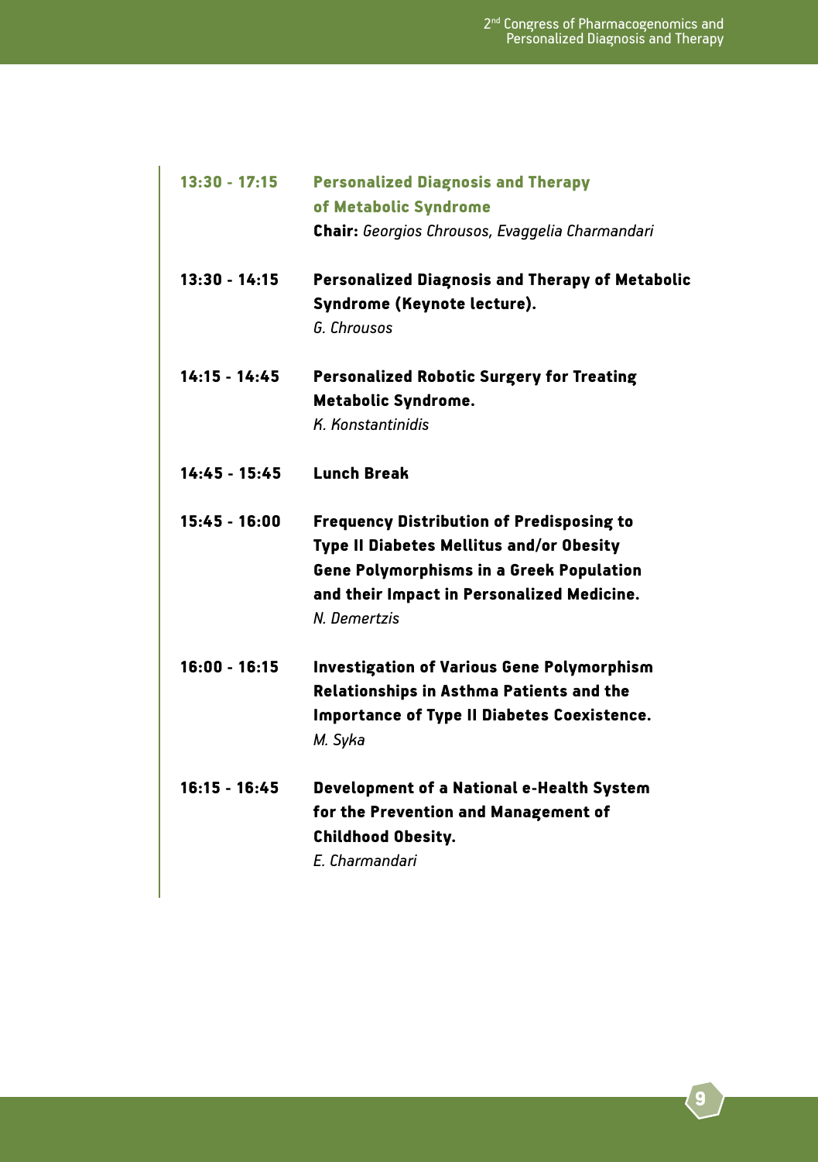| $13:30 - 17:15$ | <b>Personalized Diagnosis and Therapy</b><br>of Metabolic Syndrome<br>Chair: Georgios Chrousos, Evaggelia Charmandari                                                                                                |
|-----------------|----------------------------------------------------------------------------------------------------------------------------------------------------------------------------------------------------------------------|
| $13:30 - 14:15$ | <b>Personalized Diagnosis and Therapy of Metabolic</b><br>Syndrome (Keynote lecture).<br>G. Chrousos                                                                                                                 |
| $14:15 - 14:45$ | <b>Personalized Robotic Surgery for Treating</b><br><b>Metabolic Syndrome.</b><br>K. Konstantinidis                                                                                                                  |
| $14:45 - 15:45$ | <b>Lunch Break</b>                                                                                                                                                                                                   |
| $15:45 - 16:00$ | <b>Frequency Distribution of Predisposing to</b><br><b>Type II Diabetes Mellitus and/or Obesity</b><br><b>Gene Polymorphisms in a Greek Population</b><br>and their Impact in Personalized Medicine.<br>N. Demertzis |
| $16:00 - 16:15$ | <b>Investigation of Various Gene Polymorphism</b><br><b>Relationships in Asthma Patients and the</b><br><b>Importance of Type II Diabetes Coexistence.</b><br>M. Svka                                                |
| $16:15 - 16:45$ | Development of a National e-Health System<br>for the Prevention and Management of<br><b>Childhood Obesity.</b><br>F. Charmandari                                                                                     |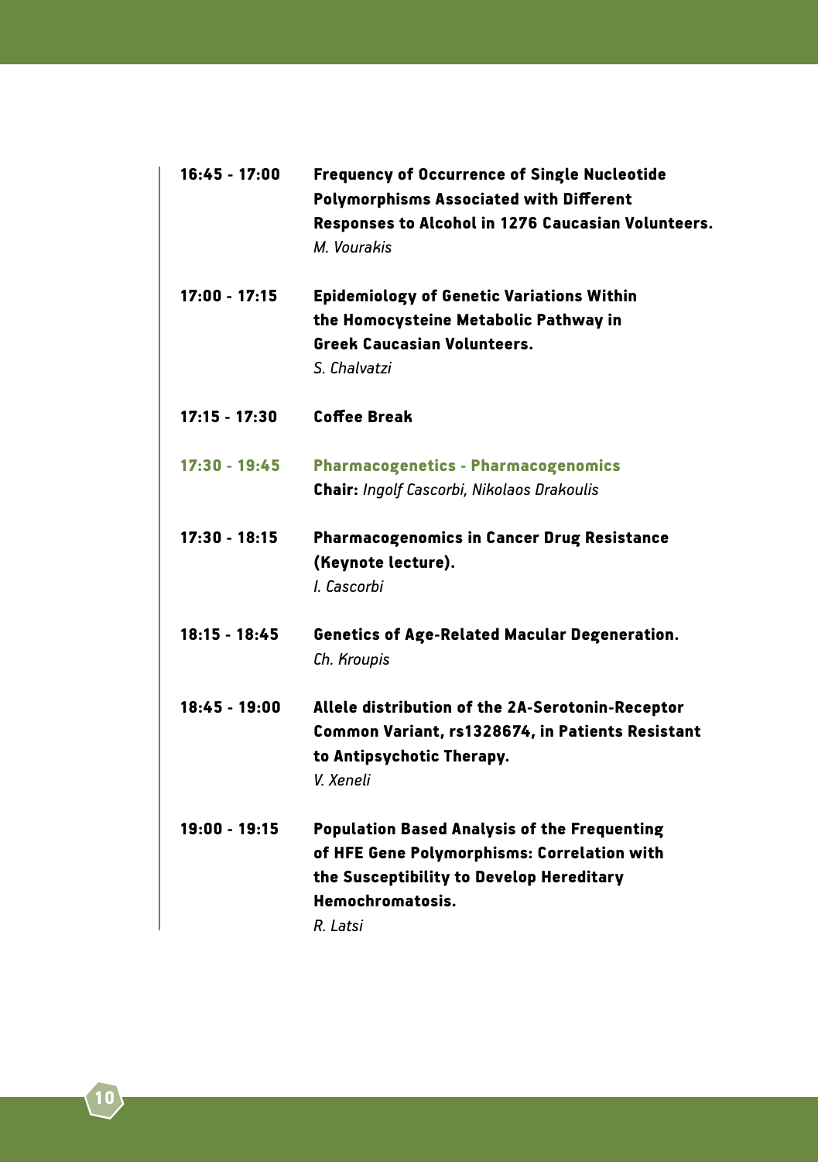| $16:45 - 17:00$ | <b>Frequency of Occurrence of Single Nucleotide</b><br><b>Polymorphisms Associated with Different</b><br>Responses to Alcohol in 1276 Caucasian Volunteers.<br>M. Vourakis     |
|-----------------|--------------------------------------------------------------------------------------------------------------------------------------------------------------------------------|
| $17:00 - 17:15$ | Epidemiology of Genetic Variations Within<br>the Homocysteine Metabolic Pathway in<br><b>Greek Caucasian Volunteers.</b><br>S. Chalvatzi                                       |
| 17:15 - 17:30   | <b>Coffee Break</b>                                                                                                                                                            |
| 17:30 - 19:45   | <b>Pharmacogenetics - Pharmacogenomics</b><br><b>Chair: Ingolf Cascorbi, Nikolaos Drakoulis</b>                                                                                |
| 17:30 - 18:15   | Pharmacogenomics in Cancer Drug Resistance<br>(Keynote lecture).<br>I. Cascorbi                                                                                                |
| 18:15 - 18:45   | <b>Genetics of Age-Related Macular Degeneration.</b><br>Ch. Kroupis                                                                                                            |
| $18:45 - 19:00$ | Allele distribution of the 2A-Serotonin-Receptor<br>Common Variant, rs1328674, in Patients Resistant<br>to Antipsychotic Therapy.<br>V. Xeneli                                 |
| $19:00 - 19:15$ | <b>Population Based Analysis of the Frequenting</b><br>of HFE Gene Polymorphisms: Correlation with<br>the Susceptibility to Develop Hereditary<br>Hemochromatosis.<br>R. Latsi |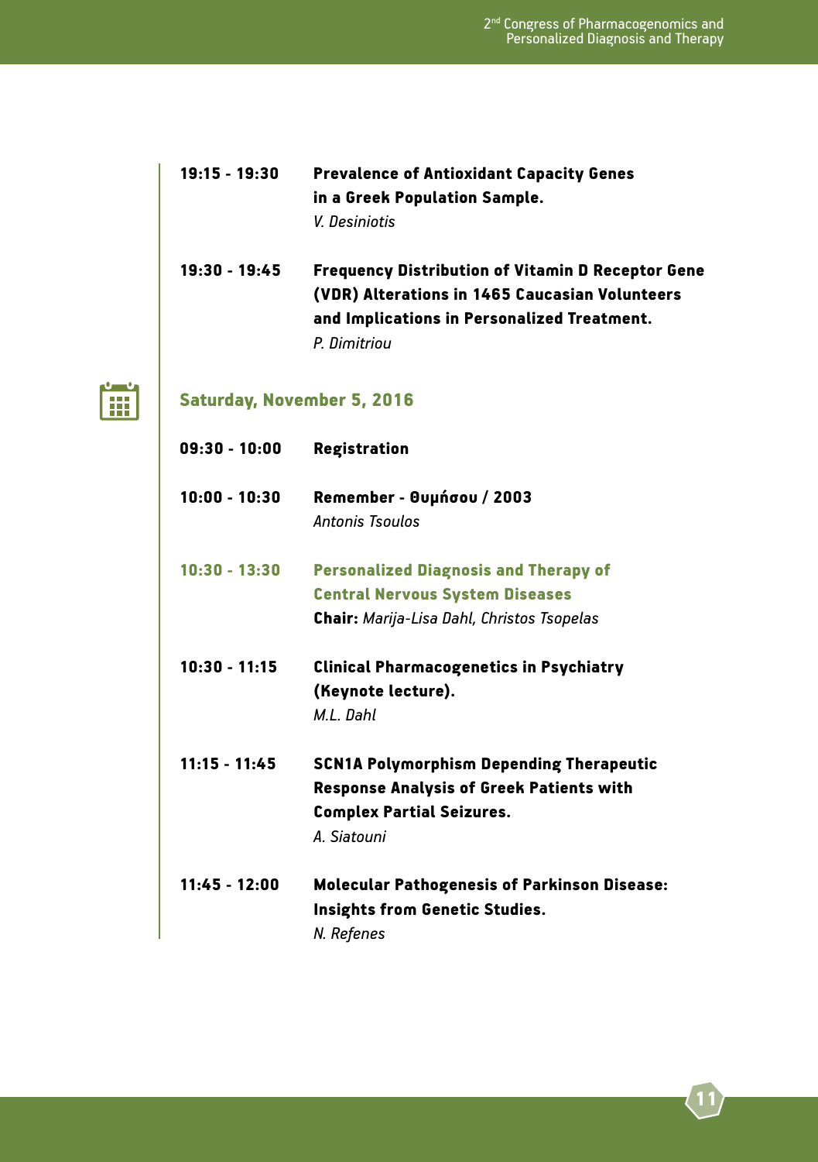| $19:15 - 19:30$ | <b>Prevalence of Antioxidant Capacity Genes</b> |  |
|-----------------|-------------------------------------------------|--|
|                 | in a Greek Population Sample.                   |  |
|                 | V. Desiniotis                                   |  |

19:30 - 19:45 Frequency Distribution of Vitamin D Receptor Gene (VDR) Alterations in 1465 Caucasian Volunteers and Implications in Personalized Treatment. *P. Dimitriou*



# Saturday, November 5, 2016

| $09:30 - 10:00$ | <b>Registration</b>                                 |
|-----------------|-----------------------------------------------------|
| $10:00 - 10:30$ | Remember - Θυμήσου / 2003                           |
|                 | Antonis Tsoulos                                     |
| $10:30 - 13:30$ | <b>Personalized Diagnosis and Therapy of</b>        |
|                 | <b>Central Nervous System Diseases</b>              |
|                 | <b>Chair:</b> Marija-Lisa Dahl, Christos Tsopelas   |
| $10:30 - 11:15$ | <b>Clinical Pharmacogenetics in Psychiatry</b>      |
|                 | (Keynote lecture).                                  |
|                 | M.I. Dahl                                           |
| $11:15 - 11:45$ | <b>SCN1A Polymorphism Depending Therapeutic</b>     |
|                 | <b>Response Analysis of Greek Patients with</b>     |
|                 | <b>Complex Partial Seizures.</b>                    |
|                 | A. Siatouni                                         |
| $11:45 - 12:00$ | <b>Molecular Pathogenesis of Parkinson Disease:</b> |
|                 | Insights from Genetic Studies.<br>N. Refenes        |
|                 |                                                     |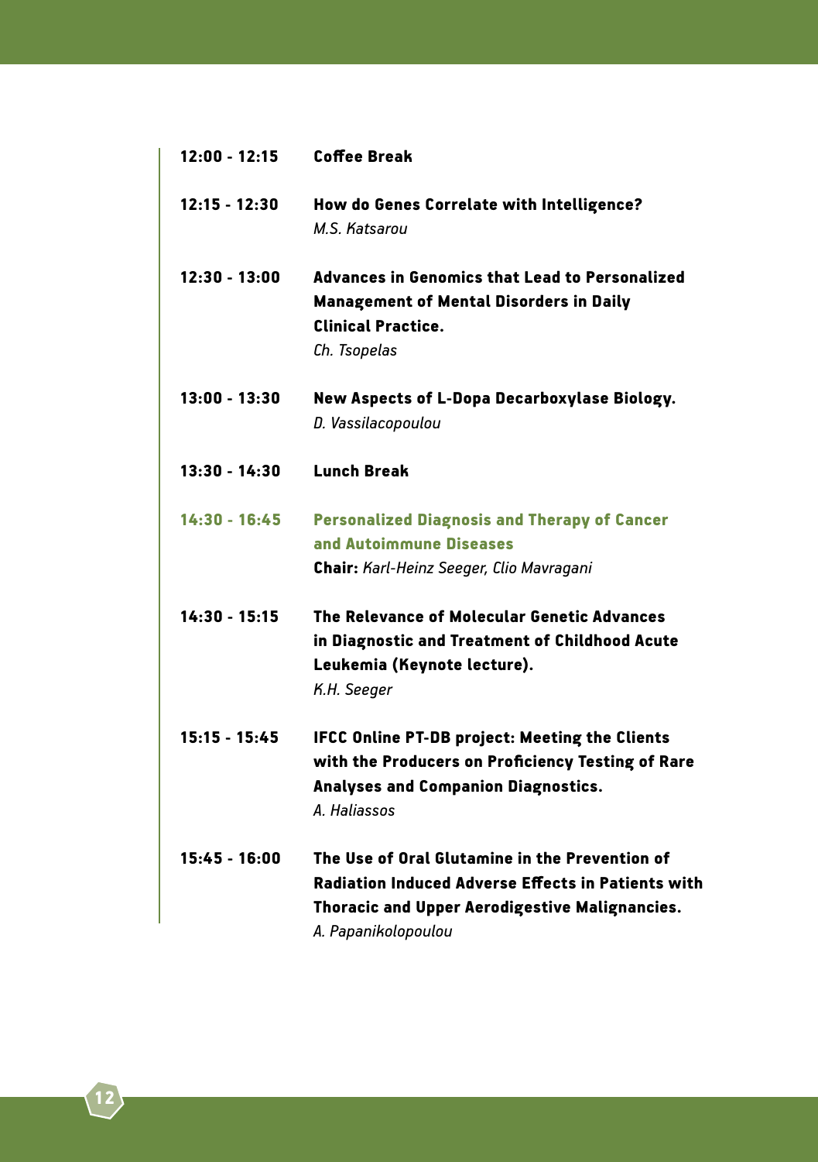| $12:00 - 12:15$ | <b>Coffee Break</b>                                                                                                                                                           |
|-----------------|-------------------------------------------------------------------------------------------------------------------------------------------------------------------------------|
| $12:15 - 12:30$ | How do Genes Correlate with Intelligence?<br>M.S. Katsarou                                                                                                                    |
| $12:30 - 13:00$ | Advances in Genomics that Lead to Personalized<br><b>Management of Mental Disorders in Daily</b><br><b>Clinical Practice.</b><br>Ch. Tsopelas                                 |
| 13:00 - 13:30   | New Aspects of L-Dopa Decarboxylase Biology.<br>D. Vassilacopoulou                                                                                                            |
| $13:30 - 14:30$ | <b>Lunch Break</b>                                                                                                                                                            |
| $14:30 - 16:45$ | <b>Personalized Diagnosis and Therapy of Cancer</b><br>and Autoimmune Diseases<br>Chair: Karl-Heinz Seeger, Clio Mavragani                                                    |
| $14:30 - 15:15$ | The Relevance of Molecular Genetic Advances<br>in Diagnostic and Treatment of Childhood Acute<br>Leukemia (Keynote lecture).<br>K.H. Seeger                                   |
| $15:15 - 15:45$ | <b>IFCC Online PT-DB project: Meeting the Clients</b><br>with the Producers on Proficiency Testing of Rare<br>Analyses and Companion Diagnostics.<br>A. Haliassos             |
| $15:45 - 16:00$ | The Use of Oral Glutamine in the Prevention of<br>Radiation Induced Adverse Effects in Patients with<br>Thoracic and Upper Aerodigestive Malignancies.<br>A. Papanikolopoulou |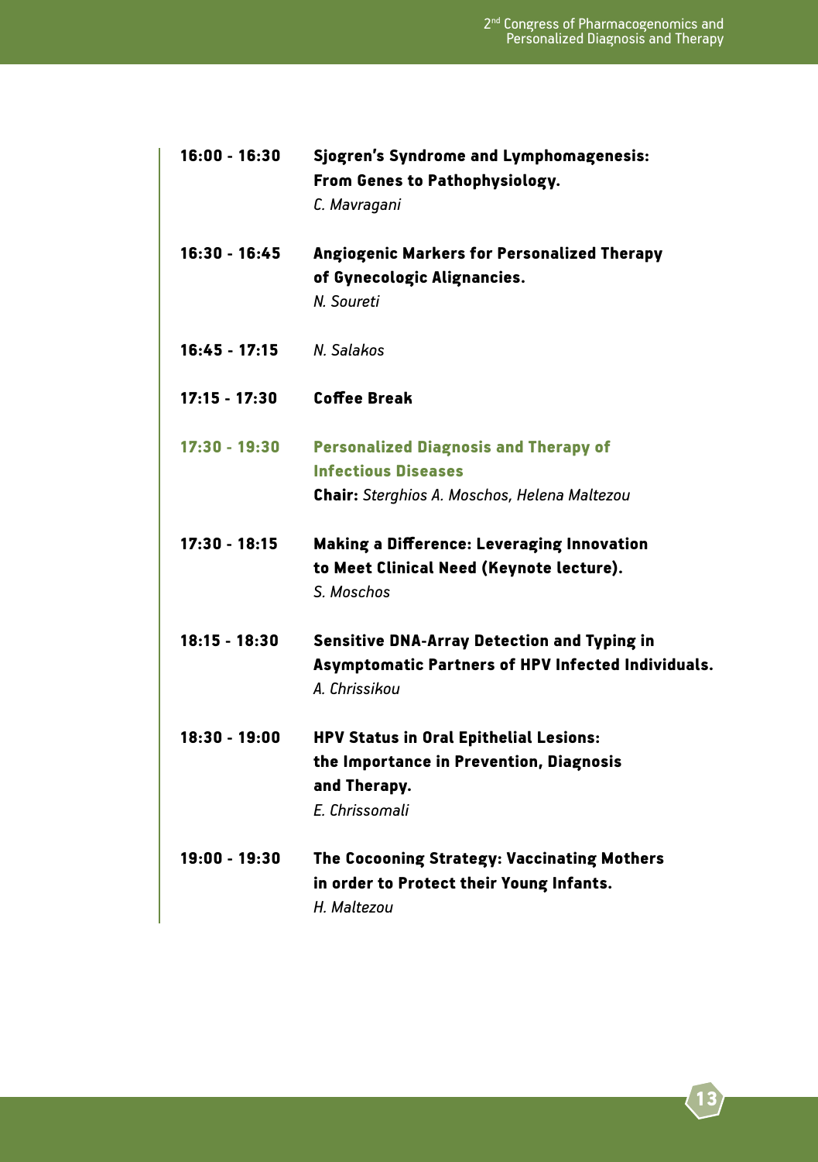| $16:00 - 16:30$ | Sjogren's Syndrome and Lymphomagenesis:<br>From Genes to Pathophysiology.<br>C. Mavragani                                         |
|-----------------|-----------------------------------------------------------------------------------------------------------------------------------|
| 16:30 - 16:45   | Angiogenic Markers for Personalized Therapy<br>of Gynecologic Alignancies.<br>N. Soureti                                          |
| $16:45 - 17:15$ | N. Salakos                                                                                                                        |
| $17:15 - 17:30$ | Coffee Break                                                                                                                      |
| 17:30 - 19:30   | <b>Personalized Diagnosis and Therapy of</b><br><b>Infectious Diseases</b><br><b>Chair:</b> Sterghios A. Moschos, Helena Maltezou |
| 17:30 - 18:15   | Making a Difference: Leveraging Innovation<br>to Meet Clinical Need (Keynote lecture).<br>S. Moschos                              |
| $18:15 - 18:30$ | <b>Sensitive DNA-Array Detection and Typing in</b><br>Asymptomatic Partners of HPV Infected Individuals.<br>A. Chrissikou         |
| $18:30 - 19:00$ | HPV Status in Oral Epithelial Lesions:<br>the Importance in Prevention, Diagnosis<br>and Therapy.<br>E. Chrissomali               |
| $19:00 - 19:30$ | The Cocooning Strategy: Vaccinating Mothers<br>in order to Protect their Young Infants.<br>H. Maltezou                            |
|                 |                                                                                                                                   |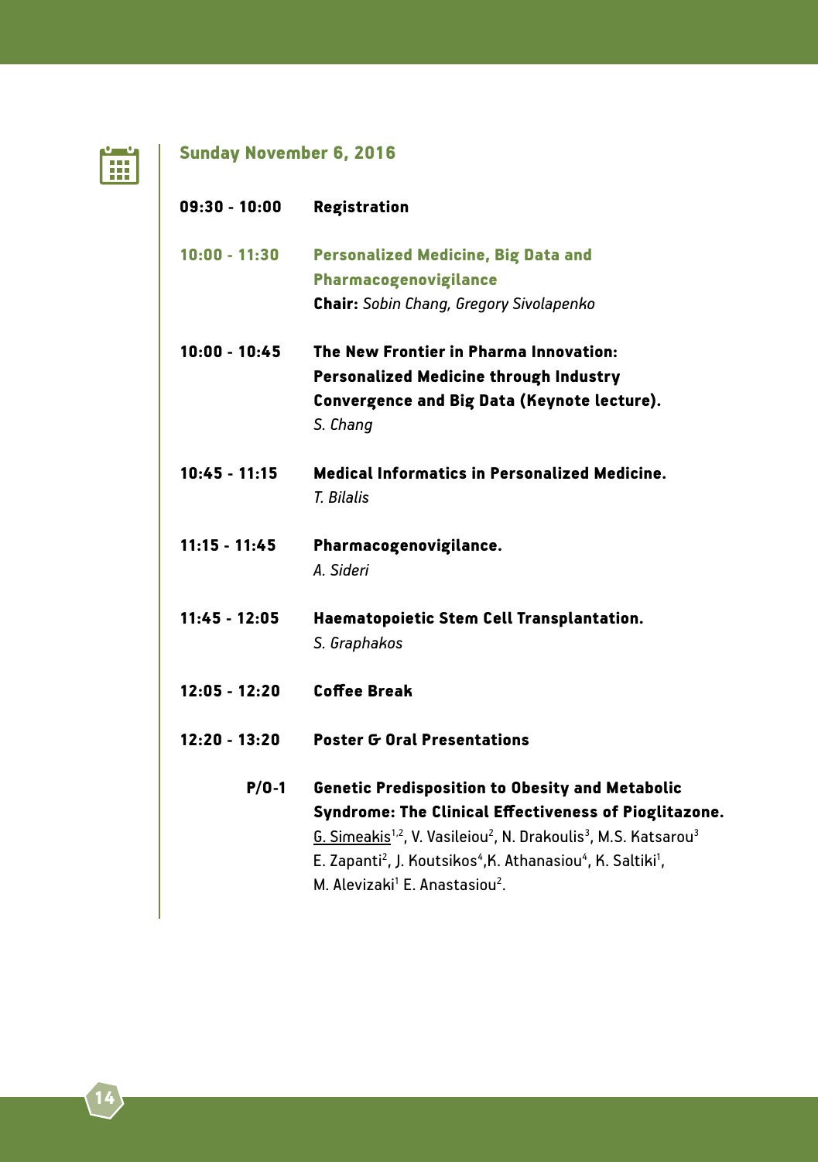

# Sunday November 6, 2016

| $09:30 - 10:00$ | <b>Registration</b>                                                                                                                                                                                                                                                                                                                                                                                          |
|-----------------|--------------------------------------------------------------------------------------------------------------------------------------------------------------------------------------------------------------------------------------------------------------------------------------------------------------------------------------------------------------------------------------------------------------|
| $10:00 - 11:30$ | <b>Personalized Medicine, Big Data and</b>                                                                                                                                                                                                                                                                                                                                                                   |
|                 | Pharmacogenovigilance                                                                                                                                                                                                                                                                                                                                                                                        |
|                 | Chair: Sobin Chang, Gregory Sivolapenko                                                                                                                                                                                                                                                                                                                                                                      |
| $10:00 - 10:45$ | The New Frontier in Pharma Innovation:                                                                                                                                                                                                                                                                                                                                                                       |
|                 | <b>Personalized Medicine through Industry</b>                                                                                                                                                                                                                                                                                                                                                                |
|                 | Convergence and Big Data (Keynote lecture).                                                                                                                                                                                                                                                                                                                                                                  |
|                 | S. Chang                                                                                                                                                                                                                                                                                                                                                                                                     |
| $10:45 - 11:15$ | <b>Medical Informatics in Personalized Medicine.</b>                                                                                                                                                                                                                                                                                                                                                         |
|                 | T. Bilalis                                                                                                                                                                                                                                                                                                                                                                                                   |
| $11:15 - 11:45$ | Pharmacogenovigilance.                                                                                                                                                                                                                                                                                                                                                                                       |
|                 | A. Sideri                                                                                                                                                                                                                                                                                                                                                                                                    |
| $11:45 - 12:05$ | Haematopoietic Stem Cell Transplantation.                                                                                                                                                                                                                                                                                                                                                                    |
|                 | S. Graphakos                                                                                                                                                                                                                                                                                                                                                                                                 |
| $12:05 - 12:20$ | <b>Coffee Break</b>                                                                                                                                                                                                                                                                                                                                                                                          |
| $12:20 - 13:20$ | <b>Poster G Oral Presentations</b>                                                                                                                                                                                                                                                                                                                                                                           |
| $P/O-1$         | <b>Genetic Predisposition to Obesity and Metabolic</b><br>Syndrome: The Clinical Effectiveness of Pioglitazone.<br>G. Simeakis <sup>1,2</sup> , V. Vasileiou <sup>2</sup> , N. Drakoulis <sup>3</sup> , M.S. Katsarou <sup>3</sup><br>E. Zapanti <sup>2</sup> , J. Koutsikos <sup>4</sup> , K. Athanasiou <sup>4</sup> , K. Saltiki <sup>1</sup> ,<br>M. Alevizaki <sup>1</sup> E. Anastasiou <sup>2</sup> . |
|                 |                                                                                                                                                                                                                                                                                                                                                                                                              |
|                 |                                                                                                                                                                                                                                                                                                                                                                                                              |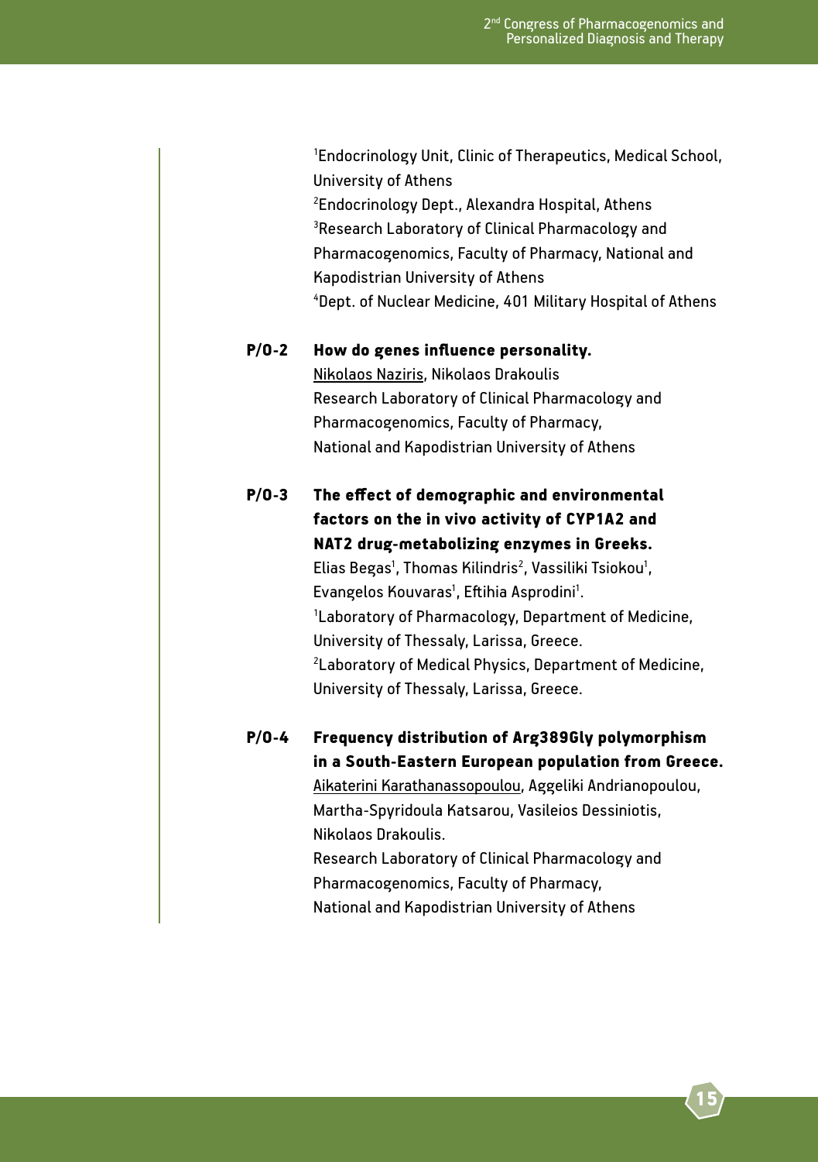1 Endocrinology Unit, Clinic of Therapeutics, Medical School, University of Athens 2 <sup>2</sup>Endocrinology Dept., Alexandra Hospital, Athens <sup>3</sup>Research Laboratory of Clinical Pharmacology and Pharmacogenomics, Faculty of Pharmacy, National and Kapodistrian University of Athens 4 Dept. of Nuclear Medicine, 401 Military Hospital of Athens

#### P/O-2 How do genes influence personality.

 Nikolaos Naziris, Nikolaos Drakoulis Research Laboratory of Clinical Pharmacology and Pharmacogenomics, Faculty of Pharmacy, National and Kapodistrian University of Athens

P/O-3 The effect of demographic and environmental factors on the in vivo activity of CYP1A2 and NAT2 drug-metabolizing enzymes in Greeks. Elias Begas<sup>1</sup>, Thomas Kilindris<sup>2</sup>, Vassiliki Tsiokou<sup>1</sup>, Evangelos Kouvaras', Eftihia Asprodini'.<br>'Laboratory of Pharmacology, Denartme <sup>1</sup> Laboratory of Pharmacology, Department of Medicine, University of Thessaly, Larissa, Greece. 2<br>2<br>2<br>2 Laboratory of Medical Physics, Department of Medicine, University of Thessaly, Larissa, Greece.

> P/O-4 Frequency distribution of Arg389Gly polymorphism in a South-Eastern European population from Greece.

> > Aikaterini Karathanassopoulou, Aggeliki Andrianopoulou, Martha-Spyridoula Katsarou, Vasileios Dessiniotis, Nikolaos Drakoulis.

 Research Laboratory of Clinical Pharmacology and Pharmacogenomics, Faculty of Pharmacy, National and Kapodistrian University of Athens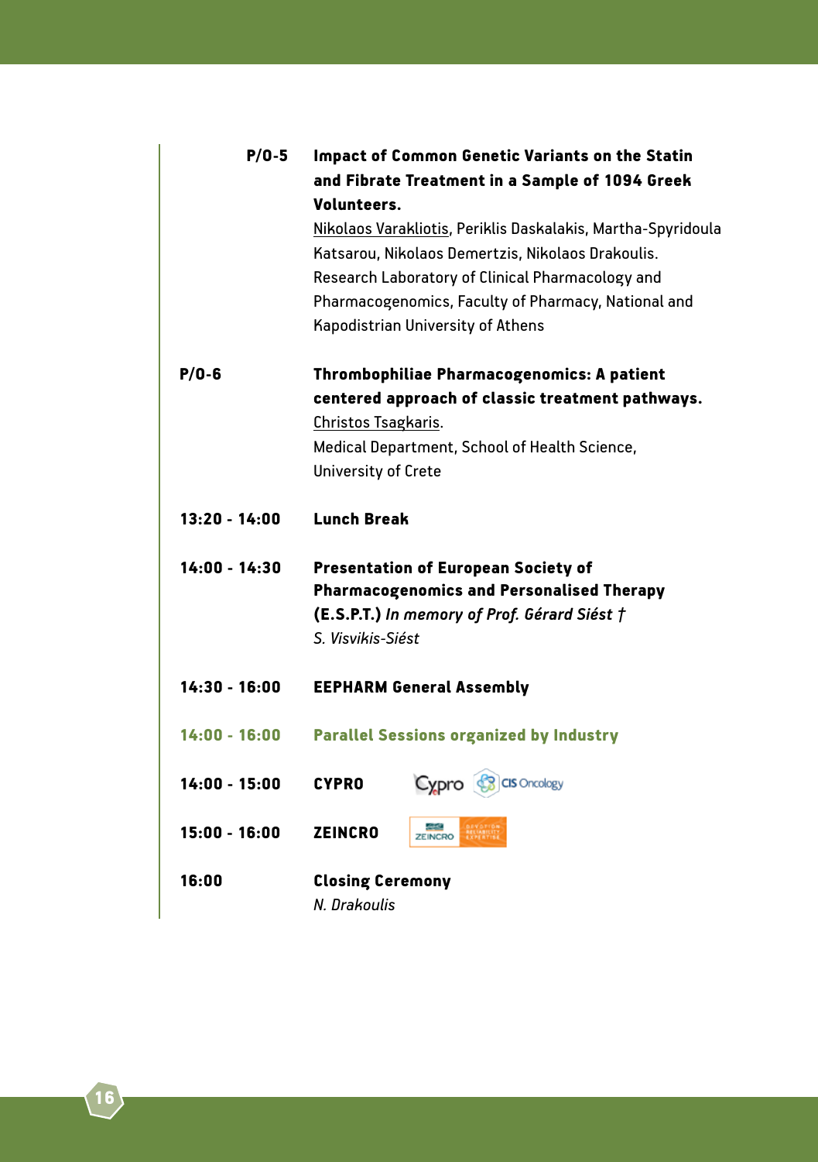| $P/O-5$         | <b>Impact of Common Genetic Variants on the Statin</b>                                                                                                                                                                                                            |
|-----------------|-------------------------------------------------------------------------------------------------------------------------------------------------------------------------------------------------------------------------------------------------------------------|
|                 | and Fibrate Treatment in a Sample of 1094 Greek<br>Volunteers.                                                                                                                                                                                                    |
|                 | Nikolaos Varakliotis, Periklis Daskalakis, Martha-Spyridoula<br>Katsarou, Nikolaos Demertzis, Nikolaos Drakoulis.<br>Research Laboratory of Clinical Pharmacology and<br>Pharmacogenomics, Faculty of Pharmacy, National and<br>Kapodistrian University of Athens |
| $P/O - 6$       | Thrombophiliae Pharmacogenomics: A patient                                                                                                                                                                                                                        |
|                 | centered approach of classic treatment pathways.                                                                                                                                                                                                                  |
|                 | Christos Tsagkaris.                                                                                                                                                                                                                                               |
|                 | Medical Department, School of Health Science,                                                                                                                                                                                                                     |
|                 | University of Crete                                                                                                                                                                                                                                               |
| $13:20 - 14:00$ | <b>Lunch Break</b>                                                                                                                                                                                                                                                |
| 14:00 - 14:30   | <b>Presentation of European Society of</b><br><b>Pharmacogenomics and Personalised Therapy</b><br>(E.S.P.T.) In memory of Prof. Gérard Siést †<br>S. Visvikis-Siést                                                                                               |
| $14:30 - 16:00$ | <b>EEPHARM General Assembly</b>                                                                                                                                                                                                                                   |
| 14:00 - 16:00   | <b>Parallel Sessions organized by Industry</b>                                                                                                                                                                                                                    |
| $14:00 - 15:00$ | Cypro <b>S</b> CIS Oncology<br><b>CYPRO</b>                                                                                                                                                                                                                       |
| 15:00 - 16:00   | <b>ZEINCRO</b><br><b>ZEINCRO</b>                                                                                                                                                                                                                                  |
| 16:00           | <b>Closing Ceremony</b>                                                                                                                                                                                                                                           |
|                 | N. Drakoulis                                                                                                                                                                                                                                                      |
|                 |                                                                                                                                                                                                                                                                   |